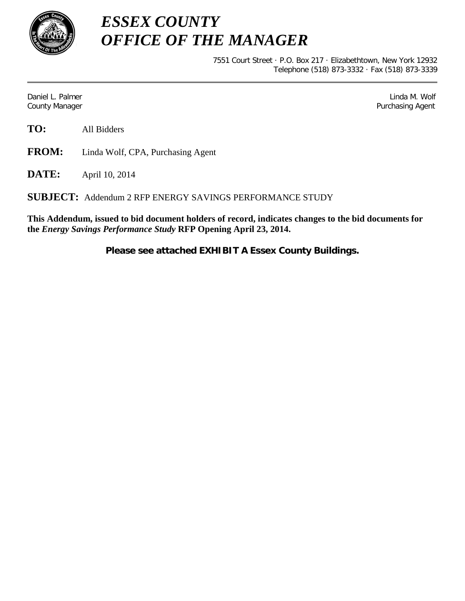

*ESSEX COUNTY OFFICE OF THE MANAGER*

> 7551 Court Street · P.O. Box 217 · Elizabethtown, New York 12932 Telephone (518) 873-3332 · Fax (518) 873-3339

Daniel L. Palmer Later and the control of the control of the control of the control of the control of the control of the control of the control of the control of the control of the control of the control of the control of County Manager **Purchasing Agent** County Manager **Purchasing Agent** County Manager

**TO:** All Bidders

**FROM:** Linda Wolf, CPA, Purchasing Agent

**DATE:** April 10, 2014

**SUBJECT:** Addendum 2 RFP ENERGY SAVINGS PERFORMANCE STUDY

**This Addendum, issued to bid document holders of record, indicates changes to the bid documents for the** *Energy Savings Performance Study* **RFP Opening April 23, 2014.**

**Please see attached EXHIBIT A Essex County Buildings.**